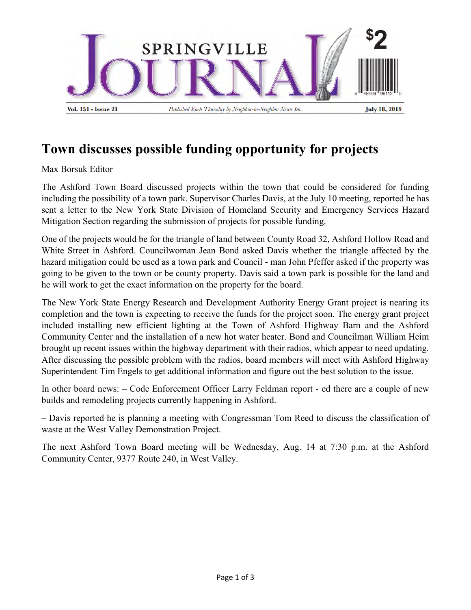

## **Town discusses possible funding opportunity for projects**

Max Borsuk Editor

The Ashford Town Board discussed projects within the town that could be considered for funding including the possibility of a town park. Supervisor Charles Davis, at the July 10 meeting, reported he has sent a letter to the New York State Division of Homeland Security and Emergency Services Hazard Mitigation Section regarding the submission of projects for possible funding.

One of the projects would be for the triangle of land between County Road 32, Ashford Hollow Road and White Street in Ashford. Councilwoman Jean Bond asked Davis whether the triangle affected by the hazard mitigation could be used as a town park and Council - man John Pfeffer asked if the property was going to be given to the town or be county property. Davis said a town park is possible for the land and he will work to get the exact information on the property for the board.

The New York State Energy Research and Development Authority Energy Grant project is nearing its completion and the town is expecting to receive the funds for the project soon. The energy grant project included installing new efficient lighting at the Town of Ashford Highway Barn and the Ashford Community Center and the installation of a new hot water heater. Bond and Councilman William Heim brought up recent issues within the highway department with their radios, which appear to need updating. After discussing the possible problem with the radios, board members will meet with Ashford Highway Superintendent Tim Engels to get additional information and figure out the best solution to the issue.

In other board news: – Code Enforcement Officer Larry Feldman report - ed there are a couple of new builds and remodeling projects currently happening in Ashford.

– Davis reported he is planning a meeting with Congressman Tom Reed to discuss the classification of waste at the West Valley Demonstration Project.

The next Ashford Town Board meeting will be Wednesday, Aug. 14 at 7:30 p.m. at the Ashford Community Center, 9377 Route 240, in West Valley.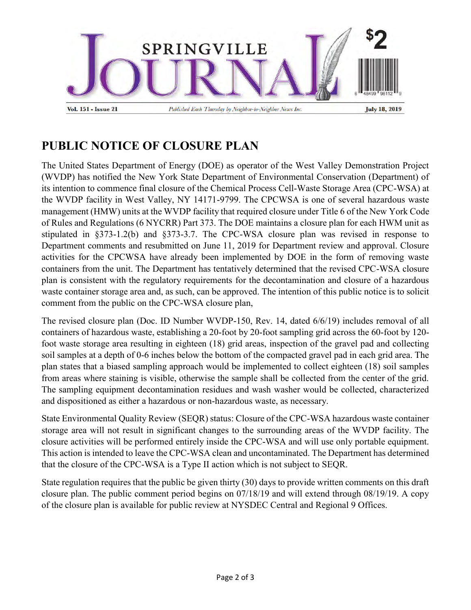

## **PUBLIC NOTICE OF CLOSURE PLAN**

The United States Department of Energy (DOE) as operator of the West Valley Demonstration Project (WVDP) has notified the New York State Department of Environmental Conservation (Department) of its intention to commence final closure of the Chemical Process Cell-Waste Storage Area (CPC-WSA) at the WVDP facility in West Valley, NY 14171-9799. The CPCWSA is one of several hazardous waste management (HMW) units at the WVDP facility that required closure under Title 6 of the New York Code of Rules and Regulations (6 NYCRR) Part 373. The DOE maintains a closure plan for each HWM unit as stipulated in §373-1.2(b) and §373-3.7. The CPC-WSA closure plan was revised in response to Department comments and resubmitted on June 11, 2019 for Department review and approval. Closure activities for the CPCWSA have already been implemented by DOE in the form of removing waste containers from the unit. The Department has tentatively determined that the revised CPC-WSA closure plan is consistent with the regulatory requirements for the decontamination and closure of a hazardous waste container storage area and, as such, can be approved. The intention of this public notice is to solicit comment from the public on the CPC-WSA closure plan,

The revised closure plan (Doc. ID Number WVDP-150, Rev. 14, dated 6/6/19) includes removal of all containers of hazardous waste, establishing a 20-foot by 20-foot sampling grid across the 60-foot by 120 foot waste storage area resulting in eighteen (18) grid areas, inspection of the gravel pad and collecting soil samples at a depth of 0-6 inches below the bottom of the compacted gravel pad in each grid area. The plan states that a biased sampling approach would be implemented to collect eighteen (18) soil samples from areas where staining is visible, otherwise the sample shall be collected from the center of the grid. The sampling equipment decontamination residues and wash washer would be collected, characterized and dispositioned as either a hazardous or non-hazardous waste, as necessary.

State Environmental Quality Review (SEQR) status: Closure of the CPC-WSA hazardous waste container storage area will not result in significant changes to the surrounding areas of the WVDP facility. The closure activities will be performed entirely inside the CPC-WSA and will use only portable equipment. This action is intended to leave the CPC-WSA clean and uncontaminated. The Department has determined that the closure of the CPC-WSA is a Type II action which is not subject to SEQR.

State regulation requires that the public be given thirty (30) days to provide written comments on this draft closure plan. The public comment period begins on 07/18/19 and will extend through 08/19/19. A copy of the closure plan is available for public review at NYSDEC Central and Regional 9 Offices.